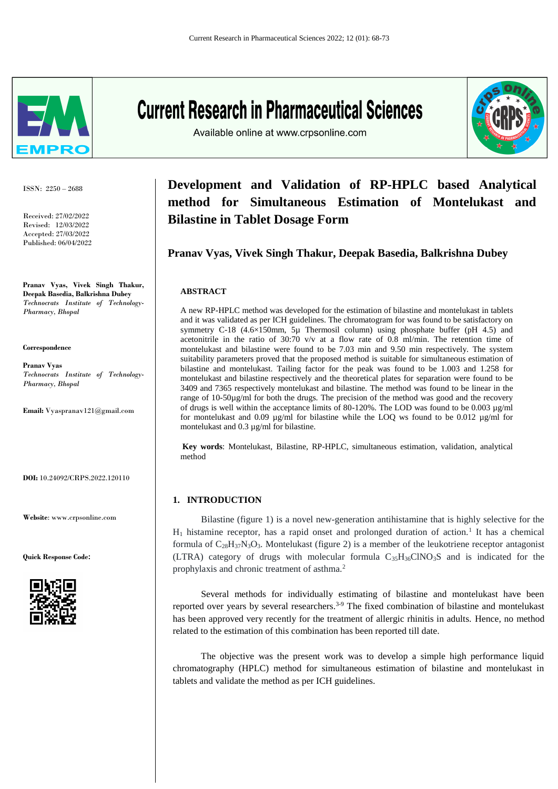

ISSN: 2250 – 2688

Received: 27/02/2022 Revised: 12/03/2022 Accepted: 27/03/2022 Published: 06/04/2022

**Pranav Vyas, Vivek Singh Thakur, Deepak Basedia, Balkrishna Dubey** *Technocrats Institute of Technology-Pharmacy, Bhopal*

**Correspondence**

**Pranav Vyas** *Technocrats Institute of Technology-Pharmacy, Bhopal*

**Email:** [Vyaspranav121@gmail.com](mailto:Vyaspranav121@gmail.com)

**DOI:** 10.24092/CRPS.2022.120110

**Website**: www.crpsonline.com

**Quick Response Code:**



# **Current Research in Pharmaceutical Sciences**

Available online at www.crpsonline.com



# **Development and Validation of RP-HPLC based Analytical method for Simultaneous Estimation of Montelukast and Bilastine in Tablet Dosage Form**

# **Pranav Vyas, Vivek Singh Thakur, Deepak Basedia, Balkrishna Dubey**

#### **ABSTRACT**

A new RP-HPLC method was developed for the estimation of bilastine and montelukast in tablets and it was validated as per ICH guidelines. The chromatogram for was found to be satisfactory on symmetry C-18  $(4.6\times150$ mm, 5µ Thermosil column) using phosphate buffer (pH 4.5) and acetonitrile in the ratio of  $30:70$  v/v at a flow rate of 0.8 ml/min. The retention time of montelukast and bilastine were found to be 7.03 min and 9.50 min respectively. The system suitability parameters proved that the proposed method is suitable for simultaneous estimation of bilastine and montelukast. Tailing factor for the peak was found to be 1.003 and 1.258 for montelukast and bilastine respectively and the theoretical plates for separation were found to be 3409 and 7365 respectively montelukast and bilastine. The method was found to be linear in the range of 10-50µg/ml for both the drugs. The precision of the method was good and the recovery of drugs is well within the acceptance limits of 80-120%. The LOD was found to be 0.003  $\mu$ g/ml for montelukast and 0.09  $\mu$ g/ml for bilastine while the LOQ ws found to be 0.012  $\mu$ g/ml for montelukast and 0.3 µg/ml for bilastine.

**Key words**: Montelukast, Bilastine, RP-HPLC, simultaneous estimation, validation, analytical method

# **1. INTRODUCTION**

 Bilastine (figure 1) is a novel new-generation antihistamine that is highly selective for the  $H_1$  histamine receptor, has a rapid onset and prolonged duration of action.<sup>1</sup> It has a chemical formula of  $C_{28}H_{37}N_3O_3$ . Montelukast (figure 2) is a member of the leukotriene receptor antagonist (LTRA) category of drugs with molecular formula  $C_{35}H_{36}CINO_3S$  and is indicated for the prophylaxis and chronic treatment of asthma.<sup>2</sup>

 Several methods for individually estimating of bilastine and montelukast have been reported over years by several researchers.<sup>3-9</sup> The fixed combination of bilastine and montelukast has been approved very recently for the treatment of allergic rhinitis in adults. Hence, no method related to the estimation of this combination has been reported till date.

 The objective was the present work was to develop a simple high performance liquid chromatography (HPLC) method for simultaneous estimation of bilastine and montelukast in tablets and validate the method as per ICH guidelines.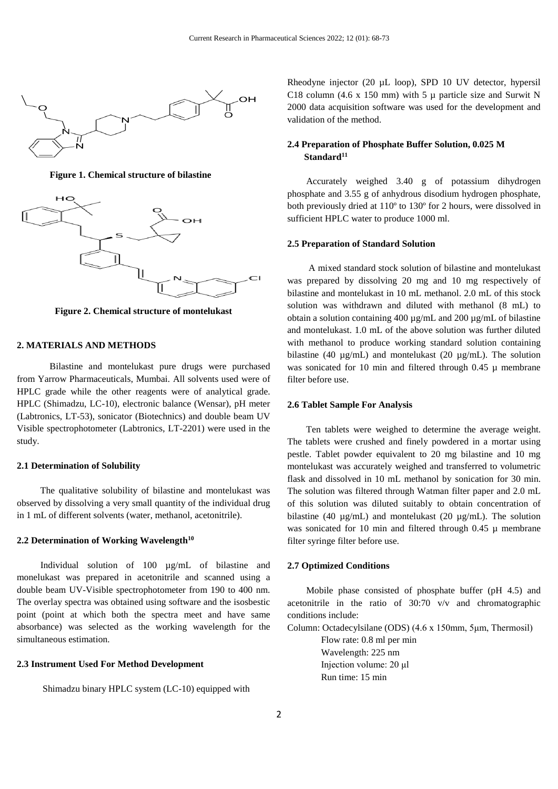

 **Figure 1. Chemical structure of bilastine**



**Figure 2. Chemical structure of montelukast**

#### **2. MATERIALS AND METHODS**

 Bilastine and montelukast pure drugs were purchased from Yarrow Pharmaceuticals, Mumbai. All solvents used were of HPLC grade while the other reagents were of analytical grade. HPLC (Shimadzu, LC-10), electronic balance (Wensar), pH meter (Labtronics, LT-53), sonicator (Biotechnics) and double beam UV Visible spectrophotometer (Labtronics, LT-2201) were used in the study.

# **2.1 Determination of Solubility**

 The qualitative solubility of bilastine and montelukast was observed by dissolving a very small quantity of the individual drug in 1 mL of different solvents (water, methanol, acetonitrile).

# **2.2 Determination of Working Wavelength<sup>10</sup>**

 Individual solution of 100 µg/mL of bilastine and monelukast was prepared in acetonitrile and scanned using a double beam UV-Visible spectrophotometer from 190 to 400 nm. The overlay spectra was obtained using software and the isosbestic point (point at which both the spectra meet and have same absorbance) was selected as the working wavelength for the simultaneous estimation.

# **2.3 Instrument Used For Method Development**

Shimadzu binary HPLC system (LC-10) equipped with

Rheodyne injector (20 µL loop), SPD 10 UV detector, hypersil C18 column (4.6 x 150 mm) with 5  $\mu$  particle size and Surwit N 2000 data acquisition software was used for the development and validation of the method.

# **2.4 Preparation of Phosphate Buffer Solution, 0.025 M Standard<sup>11</sup>**

 Accurately weighed 3.40 g of potassium dihydrogen phosphate and 3.55 g of anhydrous disodium hydrogen phosphate, both previously dried at 110º to 130º for 2 hours, were dissolved in sufficient HPLC water to produce 1000 ml.

#### **2.5 Preparation of Standard Solution**

 A mixed standard stock solution of bilastine and montelukast was prepared by dissolving 20 mg and 10 mg respectively of bilastine and montelukast in 10 mL methanol. 2.0 mL of this stock solution was withdrawn and diluted with methanol (8 mL) to obtain a solution containing 400 µg/mL and 200 µg/mL of bilastine and montelukast. 1.0 mL of the above solution was further diluted with methanol to produce working standard solution containing bilastine (40 ug/mL) and montelukast (20 ug/mL). The solution was sonicated for 10 min and filtered through 0.45  $\mu$  membrane filter before use.

# **2.6 Tablet Sample For Analysis**

 Ten tablets were weighed to determine the average weight. The tablets were crushed and finely powdered in a mortar using pestle. Tablet powder equivalent to 20 mg bilastine and 10 mg montelukast was accurately weighed and transferred to volumetric flask and dissolved in 10 mL methanol by sonication for 30 min. The solution was filtered through Watman filter paper and 2.0 mL of this solution was diluted suitably to obtain concentration of bilastine (40 µg/mL) and montelukast (20 µg/mL). The solution was sonicated for 10 min and filtered through 0.45 µ membrane filter syringe filter before use.

#### **2.7 Optimized Conditions**

 Mobile phase consisted of phosphate buffer (pH 4.5) and acetonitrile in the ratio of 30:70 v/v and chromatographic conditions include:

Column: Octadecylsilane (ODS) (4.6 x 150mm, 5μm, Thermosil)

Flow rate: 0.8 ml per min Wavelength: 225 nm Injection volume: 20 μl Run time: 15 min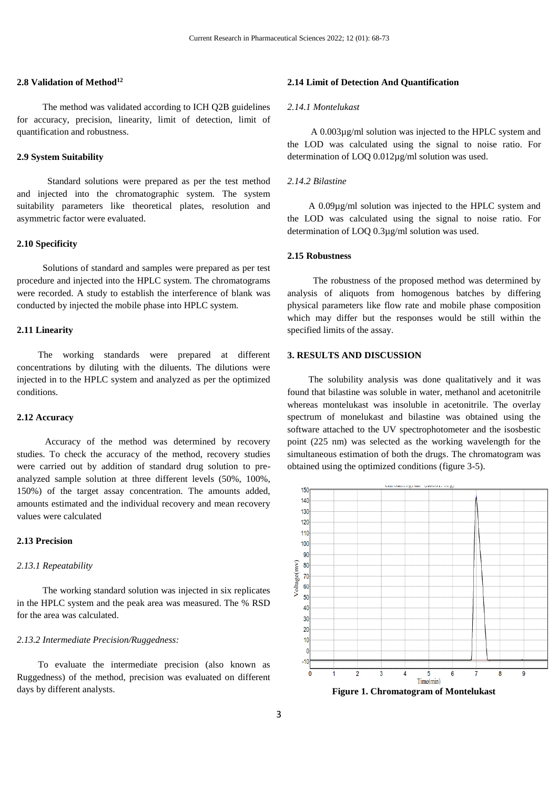# **2.8 Validation of Method<sup>12</sup>**

 The method was validated according to ICH Q2B guidelines for accuracy, precision, linearity, limit of detection, limit of quantification and robustness.

#### **2.9 System Suitability**

 Standard solutions were prepared as per the test method and injected into the chromatographic system. The system suitability parameters like theoretical plates, resolution and asymmetric factor were evaluated.

# **2.10 Specificity**

 Solutions of standard and samples were prepared as per test procedure and injected into the HPLC system. The chromatograms were recorded. A study to establish the interference of blank was conducted by injected the mobile phase into HPLC system.

# **2.11 Linearity**

 The working standards were prepared at different concentrations by diluting with the diluents. The dilutions were injected in to the HPLC system and analyzed as per the optimized conditions.

# **2.12 Accuracy**

 Accuracy of the method was determined by recovery studies. To check the accuracy of the method, recovery studies were carried out by addition of standard drug solution to preanalyzed sample solution at three different levels (50%, 100%, 150%) of the target assay concentration. The amounts added, amounts estimated and the individual recovery and mean recovery values were calculated

# **2.13 Precision**

#### *2.13.1 Repeatability*

 The working standard solution was injected in six replicates in the HPLC system and the peak area was measured. The % RSD for the area was calculated.

# *2.13.2 Intermediate Precision/Ruggedness:*

 To evaluate the intermediate precision (also known as Ruggedness) of the method, precision was evaluated on different days by different analysts.

#### **2.14 Limit of Detection And Quantification**

#### *2.14.1 Montelukast*

 A 0.003µg/ml solution was injected to the HPLC system and the LOD was calculated using the signal to noise ratio. For determination of LOQ 0.012µg/ml solution was used.

# *2.14.2 Bilastine*

 A 0.09µg/ml solution was injected to the HPLC system and the LOD was calculated using the signal to noise ratio. For determination of LOQ 0.3µg/ml solution was used.

# **2.15 Robustness**

 The robustness of the proposed method was determined by analysis of aliquots from homogenous batches by differing physical parameters like flow rate and mobile phase composition which may differ but the responses would be still within the specified limits of the assay.

# **3. RESULTS AND DISCUSSION**

 The solubility analysis was done qualitatively and it was found that bilastine was soluble in water, methanol and acetonitrile whereas montelukast was insoluble in acetonitrile. The overlay spectrum of monelukast and bilastine was obtained using the software attached to the UV spectrophotometer and the isosbestic point (225 nm) was selected as the working wavelength for the simultaneous estimation of both the drugs. The chromatogram was obtained using the optimized conditions (figure 3-5).



**Figure 1. Chromatogram of Montelukast**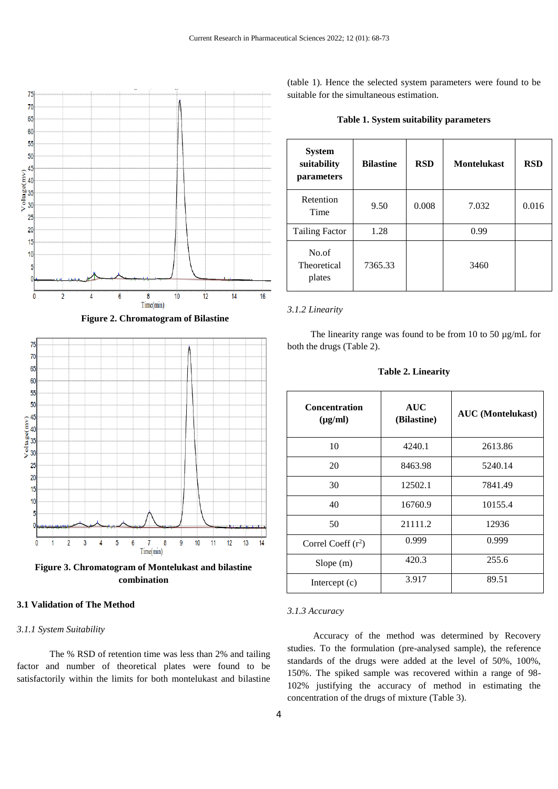

 **Figure 2. Chromatogram of Bilastine**



**combination**

# **3.1 Validation of The Method**

# *3.1.1 System Suitability*

 The % RSD of retention time was less than 2% and tailing factor and number of theoretical plates were found to be satisfactorily within the limits for both montelukast and bilastine

(table 1). Hence the selected system parameters were found to be suitable for the simultaneous estimation.

|  |  |  | Table 1. System suitability parameters |
|--|--|--|----------------------------------------|
|--|--|--|----------------------------------------|

| <b>System</b><br>suitability<br>parameters | <b>Bilastine</b> | <b>RSD</b> | <b>Montelukast</b> | <b>RSD</b> |
|--------------------------------------------|------------------|------------|--------------------|------------|
| Retention<br>Time                          | 9.50             | 0.008      | 7.032              | 0.016      |
| <b>Tailing Factor</b>                      | 1.28             |            | 0.99               |            |
| No.of<br><b>Theoretical</b><br>plates      | 7365.33          |            | 3460               |            |

#### *3.1.2 Linearity*

The linearity range was found to be from 10 to 50 µg/mL for both the drugs (Table 2).

**Table 2. Linearity**

| <b>Concentration</b><br>$(\mu g/ml)$ | <b>AUC</b><br>(Bilastine) | <b>AUC</b> (Montelukast) |  |
|--------------------------------------|---------------------------|--------------------------|--|
| 10                                   | 4240.1                    | 2613.86                  |  |
| 20                                   | 8463.98                   | 5240.14                  |  |
| 30                                   | 12502.1                   | 7841.49                  |  |
| 40                                   | 16760.9                   | 10155.4                  |  |
| 50                                   | 21111.2                   | 12936                    |  |
| Correl Coeff $(r^2)$                 | 0.999                     | 0.999                    |  |
| Slope(m)                             | 420.3                     | 255.6                    |  |
| Intercept $(c)$                      | 3.917                     | 89.51                    |  |

#### *3.1.3 Accuracy*

 Accuracy of the method was determined by Recovery studies. To the formulation (pre-analysed sample), the reference standards of the drugs were added at the level of 50%, 100%, 150%. The spiked sample was recovered within a range of 98- 102% justifying the accuracy of method in estimating the concentration of the drugs of mixture (Table 3).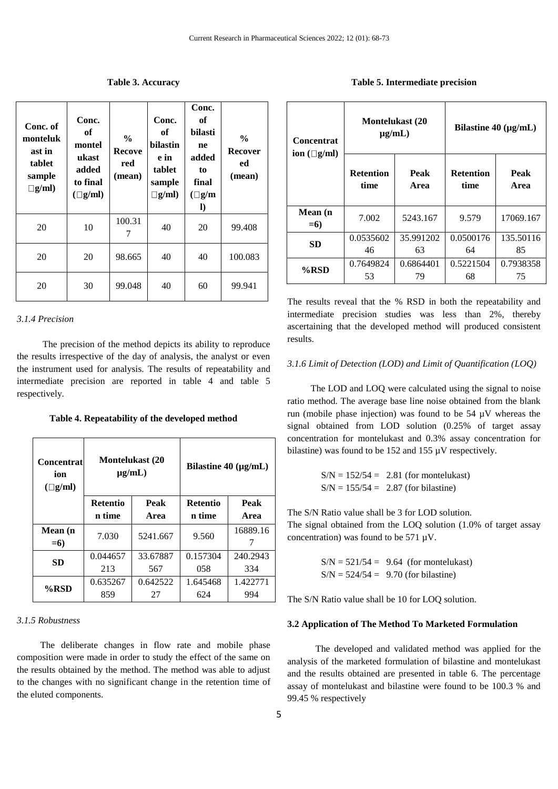| Conc. of<br>monteluk<br>ast in<br>tablet<br>sample<br>$\Box$ g/ml) | Conc.<br>of<br>montel<br>ukast<br>added<br>to final<br>$(\Box g/ml)$ | $\frac{0}{0}$<br><b>Recove</b><br>red<br>(mean) | Conc.<br>of<br><b>bilastin</b><br>e in<br>tablet<br>sample<br>$\Box$ g/ml) | Conc.<br>of<br>bilasti<br>ne<br>added<br>to<br>final<br>$(\Box g/m)$<br>$\bf{D}$ | $\frac{0}{0}$<br><b>Recover</b><br>ed<br>(mean) |
|--------------------------------------------------------------------|----------------------------------------------------------------------|-------------------------------------------------|----------------------------------------------------------------------------|----------------------------------------------------------------------------------|-------------------------------------------------|
| 20                                                                 | 10                                                                   | 100.31<br>7                                     | 40                                                                         | 20                                                                               | 99.408                                          |
| 20                                                                 | 20                                                                   | 98.665                                          | 40                                                                         | 40                                                                               | 100.083                                         |
| 20                                                                 | 30                                                                   | 99.048                                          | 40                                                                         | 60                                                                               | 99.941                                          |

## **Table 3. Accuracy**

#### *3.1.4 Precision*

 The precision of the method depicts its ability to reproduce the results irrespective of the day of analysis, the analyst or even the instrument used for analysis. The results of repeatability and intermediate precision are reported in table 4 and table 5 respectively.

**Table 4. Repeatability of the developed method**

| <b>Concentrat</b><br>ion<br>$(\Box$ g/ml) | <b>Montelukast</b> (20<br>$\mu$ g/mL) |          | Bilastine $40 \ (\mu g/mL)$ |          |
|-------------------------------------------|---------------------------------------|----------|-----------------------------|----------|
|                                           | <b>Retentio</b>                       | Peak     | <b>Retentio</b>             | Peak     |
|                                           | n time                                | Area     | n time                      | Area     |
| Mean (n<br>$= 6$                          | 7.030                                 | 5241.667 | 9.560                       | 16889.16 |
| SD                                        | 0.044657                              | 33.67887 | 0.157304                    | 240.2943 |
|                                           | 213                                   | 567      | 058                         | 334      |
| $%$ RSD                                   | 0.635267                              | 0.642522 | 1.645468                    | 1.422771 |
|                                           | 859                                   | 27       | 624                         | 994      |

# *3.1.5 Robustness*

 The deliberate changes in flow rate and mobile phase composition were made in order to study the effect of the same on the results obtained by the method. The method was able to adjust to the changes with no significant change in the retention time of the eluted components.

**Table 5. Intermediate precision**

| <b>Concentrat</b><br>ion $(\Box g/ml)$ | <b>Montelukast</b> (20<br>$\mu$ g/mL) |                 | Bilastine $40 \ (\mu g/mL)$ |                 |
|----------------------------------------|---------------------------------------|-----------------|-----------------------------|-----------------|
|                                        | <b>Retention</b><br>time              | Peak<br>Area    | <b>Retention</b><br>time    | Peak<br>Area    |
| Mean (n<br>$= 6$                       | 7.002                                 | 5243.167        | 9.579                       | 17069.167       |
| SD                                     | 0.0535602<br>46                       | 35.991202<br>63 | 0.0500176<br>64             | 135.50116<br>85 |
| $%$ RSD                                | 0.7649824<br>53                       | 0.6864401<br>79 | 0.5221504<br>68             | 0.7938358<br>75 |

The results reveal that the % RSD in both the repeatability and intermediate precision studies was less than 2%, thereby ascertaining that the developed method will produced consistent results.

# *3.1.6 Limit of Detection (LOD) and Limit of Quantification (LOQ)*

 The LOD and LOQ were calculated using the signal to noise ratio method. The average base line noise obtained from the blank run (mobile phase injection) was found to be 54 µV whereas the signal obtained from LOD solution (0.25% of target assay concentration for montelukast and 0.3% assay concentration for bilastine) was found to be 152 and 155 µV respectively.

> $S/N = 152/54 = 2.81$  (for montelukast)  $S/N = 155/54 = 2.87$  (for bilastine)

The S/N Ratio value shall be 3 for LOD solution.

The signal obtained from the LOQ solution (1.0% of target assay concentration) was found to be  $571 \mu V$ .

> $S/N = 521/54 = 9.64$  (for montelukast)  $S/N = 524/54 = 9.70$  (for bilastine)

The S/N Ratio value shall be 10 for LOQ solution.

#### **3.2 Application of The Method To Marketed Formulation**

 The developed and validated method was applied for the analysis of the marketed formulation of bilastine and montelukast and the results obtained are presented in table 6. The percentage assay of montelukast and bilastine were found to be 100.3 % and 99.45 % respectively